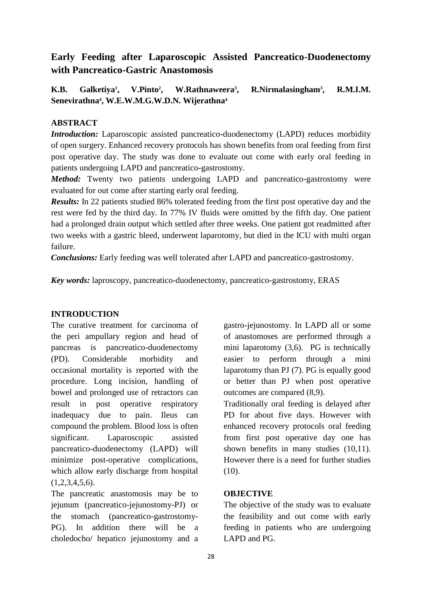# **Early Feeding after Laparoscopic Assisted Pancreatico-Duodenectomy with Pancreatico-Gastric Anastomosis**

**K.B. Galketiya<sup>1</sup> , V.Pinto<sup>2</sup> , W.Rathnaweera<sup>3</sup> , R.Nirmalasingham<sup>3</sup> , R.M.I.M. Senevirathna<sup>4</sup> , W.E.W.M.G.W.D.N. Wijerathna<sup>4</sup>**

## **ABSTRACT**

*Introduction:* Laparoscopic assisted pancreatico-duodenectomy (LAPD) reduces morbidity of open surgery. Enhanced recovery protocols has shown benefits from oral feeding from first post operative day. The study was done to evaluate out come with early oral feeding in patients undergoing LAPD and pancreatico-gastrostomy.

*Method:* Twenty two patients undergoing LAPD and pancreatico-gastrostomy were evaluated for out come after starting early oral feeding.

*Results:* In 22 patients studied 86% tolerated feeding from the first post operative day and the rest were fed by the third day. In 77% IV fluids were omitted by the fifth day. One patient had a prolonged drain output which settled after three weeks. One patient got readmitted after two weeks with a gastric bleed, underwent laparotomy, but died in the ICU with multi organ failure.

*Conclusions:* Early feeding was well tolerated after LAPD and pancreatico-gastrostomy.

*Key words:* laproscopy, pancreatico-duodenectomy, pancreatico-gastrostomy, ERAS

### **INTRODUCTION**

The curative treatment for carcinoma of the peri ampullary region and head of pancreas is pancreatico-duodenectomy (PD). Considerable morbidity and occasional mortality is reported with the procedure. Long incision, handling of bowel and prolonged use of retractors can result in post operative respiratory inadequacy due to pain. Ileus can compound the problem. Blood loss is often significant. Laparoscopic assisted pancreatico-duodenectomy (LAPD) will minimize post-operative complications, which allow early discharge from hospital  $(1,2,3,4,5,6)$ .

The pancreatic anastomosis may be to jejunum (pancreatico-jejunostomy-PJ) or the stomach (pancreatico-gastrostomy-PG). In addition there will be a choledocho/ hepatico jejunostomy and a

gastro-jejunostomy. In LAPD all or some of anastomoses are performed through a mini laparotomy (3,6). PG is technically easier to perform through a mini laparotomy than PJ (7). PG is equally good or better than PJ when post operative outcomes are compared (8,9).

Traditionally oral feeding is delayed after PD for about five days. However with enhanced recovery protocols oral feeding from first post operative day one has shown benefits in many studies (10,11). However there is a need for further studies (10).

### **OBJECTIVE**

The objective of the study was to evaluate the feasibility and out come with early feeding in patients who are undergoing LAPD and PG.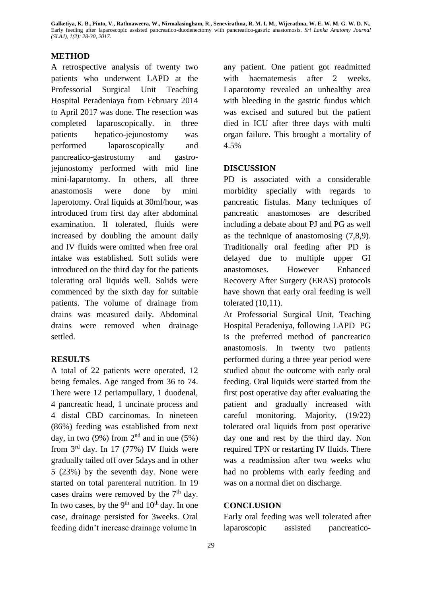**Galketiya, K. B., Pinto, V., Rathnaweera, W., Nirmalasingham, R., Senevirathna, R. M. I. M., Wijerathna, W. E. W. M. G. W. D. N.,**  Early feeding after laparoscopic assisted pancreatico-duodenectomy with pancreatico-gastric anastomosis. *Sri Lanka Anatomy Journal (SLAJ), 1(2): 28-30, 2017.*

#### **METHOD**

A retrospective analysis of twenty two patients who underwent LAPD at the Professorial Surgical Unit Teaching Hospital Peradeniaya from February 2014 to April 2017 was done. The resection was completed laparoscopically. in three patients hepatico-jejunostomy was performed laparoscopically and pancreatico-gastrostomy and gastrojejunostomy performed with mid line mini-laparotomy. In others, all three anastomosis were done by mini laperotomy. Oral liquids at 30ml/hour, was introduced from first day after abdominal examination. If tolerated, fluids were increased by doubling the amount daily and IV fluids were omitted when free oral intake was established. Soft solids were introduced on the third day for the patients tolerating oral liquids well. Solids were commenced by the sixth day for suitable patients. The volume of drainage from drains was measured daily. Abdominal drains were removed when drainage settled.

#### **RESULTS**

A total of 22 patients were operated, 12 being females. Age ranged from 36 to 74. There were 12 periampullary, 1 duodenal, 4 pancreatic head, 1 uncinate process and 4 distal CBD carcinomas. In nineteen (86%) feeding was established from next day, in two (9%) from  $2<sup>nd</sup>$  and in one (5%) from  $3<sup>rd</sup>$  day. In 17 (77%) IV fluids were gradually tailed off over 5days and in other 5 (23%) by the seventh day. None were started on total parenteral nutrition. In 19 cases drains were removed by the  $7<sup>th</sup>$  day. In two cases, by the  $9<sup>th</sup>$  and  $10<sup>th</sup>$  day. In one case, drainage persisted for 3weeks. Oral feeding didn't increase drainage volume in

any patient. One patient got readmitted with haematemesis after 2 weeks. Laparotomy revealed an unhealthy area with bleeding in the gastric fundus which was excised and sutured but the patient died in ICU after three days with multi organ failure. This brought a mortality of 4.5%

#### **DISCUSSION**

PD is associated with a considerable morbidity specially with regards to pancreatic fistulas. Many techniques of pancreatic anastomoses are described including a debate about PJ and PG as well as the technique of anastomosing (7,8,9). Traditionally oral feeding after PD is delayed due to multiple upper GI anastomoses. However Enhanced Recovery After Surgery (ERAS) protocols have shown that early oral feeding is well tolerated (10,11).

At Professorial Surgical Unit, Teaching Hospital Peradeniya, following LAPD PG is the preferred method of pancreatico anastomosis. In twenty two patients performed during a three year period were studied about the outcome with early oral feeding. Oral liquids were started from the first post operative day after evaluating the patient and gradually increased with careful monitoring. Majority, (19/22) tolerated oral liquids from post operative day one and rest by the third day. Non required TPN or restarting IV fluids. There was a readmission after two weeks who had no problems with early feeding and was on a normal diet on discharge.

### **CONCLUSION**

Early oral feeding was well tolerated after laparoscopic assisted pancreatico-